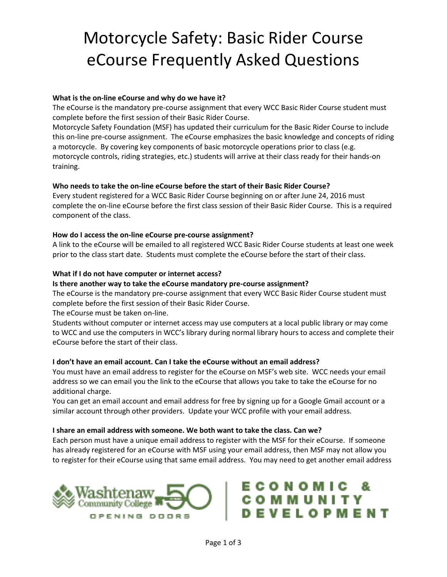# Motorcycle Safety: Basic Rider Course eCourse Frequently Asked Questions

# **What is the on-line eCourse and why do we have it?**

The eCourse is the mandatory pre-course assignment that every WCC Basic Rider Course student must complete before the first session of their Basic Rider Course.

Motorcycle Safety Foundation (MSF) has updated their curriculum for the Basic Rider Course to include this on-line pre-course assignment. The eCourse emphasizes the basic knowledge and concepts of riding a motorcycle. By covering key components of basic motorcycle operations prior to class (e.g. motorcycle controls, riding strategies, etc.) students will arrive at their class ready for their hands-on training.

### **Who needs to take the on-line eCourse before the start of their Basic Rider Course?**

Every student registered for a WCC Basic Rider Course beginning on or after June 24, 2016 must complete the on-line eCourse before the first class session of their Basic Rider Course. This is a required component of the class.

### **How do I access the on-line eCourse pre-course assignment?**

A link to the eCourse will be emailed to all registered WCC Basic Rider Course students at least one week prior to the class start date. Students must complete the eCourse before the start of their class.

### **What if I do not have computer or internet access?**

#### **Is there another way to take the eCourse mandatory pre-course assignment?**

The eCourse is the mandatory pre-course assignment that every WCC Basic Rider Course student must complete before the first session of their Basic Rider Course.

The eCourse must be taken on-line.

Students without computer or internet access may use computers at a local public library or may come to WCC and use the computers in WCC's library during normal library hours to access and complete their eCourse before the start of their class.

#### **I don't have an email account. Can I take the eCourse without an email address?**

You must have an email address to register for the eCourse on MSF's web site. WCC needs your email address so we can email you the link to the eCourse that allows you take to take the eCourse for no additional charge.

You can get an email account and email address for free by signing up for a Google Gmail account or a similar account through other providers. Update your WCC profile with your email address.

#### **I share an email address with someone. We both want to take the class. Can we?**

Each person must have a unique email address to register with the MSF for their eCourse. If someone has already registered for an eCourse with MSF using your email address, then MSF may not allow you to register for their eCourse using that same email address. You may need to get another email address



# ECONOMIC COMMUNITY<br>DEVELOPMENT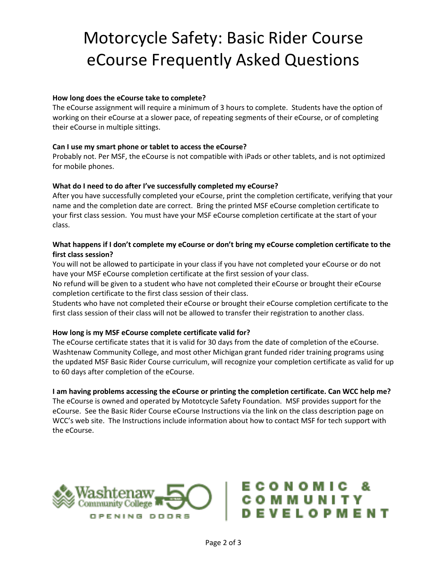# Motorcycle Safety: Basic Rider Course eCourse Frequently Asked Questions

### **How long does the eCourse take to complete?**

The eCourse assignment will require a minimum of 3 hours to complete. Students have the option of working on their eCourse at a slower pace, of repeating segments of their eCourse, or of completing their eCourse in multiple sittings.

### **Can I use my smart phone or tablet to access the eCourse?**

Probably not. Per MSF, the eCourse is not compatible with iPads or other tablets, and is not optimized for mobile phones.

### **What do I need to do after I've successfully completed my eCourse?**

After you have successfully completed your eCourse, print the completion certificate, verifying that your name and the completion date are correct. Bring the printed MSF eCourse completion certificate to your first class session. You must have your MSF eCourse completion certificate at the start of your class.

# **What happens if I don't complete my eCourse or don't bring my eCourse completion certificate to the first class session?**

You will not be allowed to participate in your class if you have not completed your eCourse or do not have your MSF eCourse completion certificate at the first session of your class.

No refund will be given to a student who have not completed their eCourse or brought their eCourse completion certificate to the first class session of their class.

Students who have not completed their eCourse or brought their eCourse completion certificate to the first class session of their class will not be allowed to transfer their registration to another class.

#### **How long is my MSF eCourse complete certificate valid for?**

The eCourse certificate states that it is valid for 30 days from the date of completion of the eCourse. Washtenaw Community College, and most other Michigan grant funded rider training programs using the updated MSF Basic Rider Course curriculum, will recognize your completion certificate as valid for up to 60 days after completion of the eCourse.

#### **I am having problems accessing the eCourse or printing the completion certificate. Can WCC help me?**

The eCourse is owned and operated by Mototcycle Safety Foundation. MSF provides support for the eCourse. See the Basic Rider Course eCourse Instructions via the link on the class description page on WCC's web site. The Instructions include information about how to contact MSF for tech support with the eCourse.



# **CONOMIC** MMUNIT **VELOPMENT**